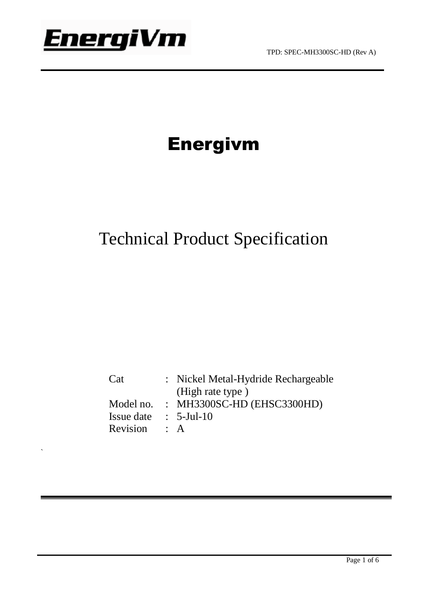

`

## Energivm

## Technical Product Specification

Cat : Nickel Metal-Hydride Rechargeable (High rate type ) Model no. : MH3300SC-HD (EHSC3300HD) Issue date : 5-Jul-10 Revision : A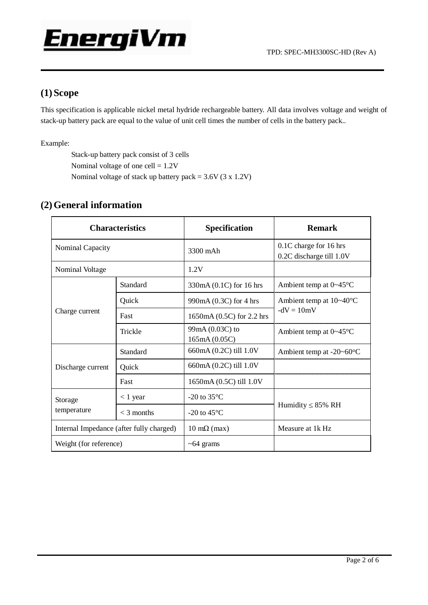#### **(1)Scope**

This specification is applicable nickel metal hydride rechargeable battery. All data involves voltage and weight of stack-up battery pack are equal to the value of unit cell times the number of cells in the battery pack..

Example:

Stack-up battery pack consist of 3 cells Nominal voltage of one cell = 1.2V Nominal voltage of stack up battery pack =  $3.6V$  (3 x 1.2V)

| <b>Characteristics</b>                   |              | <b>Specification</b>             | <b>Remark</b>                                      |  |
|------------------------------------------|--------------|----------------------------------|----------------------------------------------------|--|
| Nominal Capacity                         |              | 3300 mAh                         | 0.1C charge for 16 hrs<br>0.2C discharge till 1.0V |  |
| Nominal Voltage                          |              | 1.2V                             |                                                    |  |
| Charge current                           | Standard     | 330mA (0.1C) for 16 hrs          | Ambient temp at $0\neg 45^\circ\text{C}$           |  |
|                                          | Quick        | 990mA (0.3C) for 4 hrs           | Ambient temp at $10-40^{\circ}$ C<br>$-dV = 10mV$  |  |
|                                          | Fast         | 1650mA (0.5C) for 2.2 hrs        |                                                    |  |
|                                          | Trickle      | 99mA (0.03C) to<br>165mA (0.05C) | Ambient temp at $0\neg 45^{\circ}$ C               |  |
| Discharge current                        | Standard     | 660mA (0.2C) till 1.0V           | Ambient temp at $-20-60$ °C                        |  |
|                                          | Quick        | 660mA (0.2C) till 1.0V           |                                                    |  |
|                                          | Fast         | 1650mA (0.5C) till 1.0V          |                                                    |  |
| Storage<br>temperature                   | $< 1$ year   | -20 to $35^{\circ}$ C            | Humidity $\leq 85\%$ RH                            |  |
|                                          | $<$ 3 months | $-20$ to $45^{\circ}$ C          |                                                    |  |
| Internal Impedance (after fully charged) |              | $10 \text{ mA}$ (max)            | Measure at 1k Hz                                   |  |
| Weight (for reference)                   |              | $~10-64$ grams                   |                                                    |  |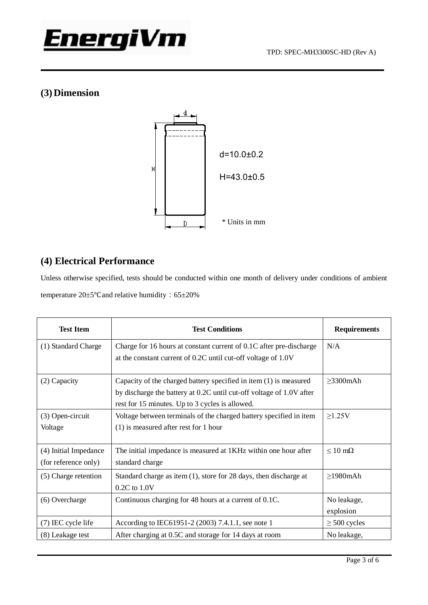### **(3)Dimension**



#### **(4) Electrical Performance**

Unless otherwise specified, tests should be conducted within one month of delivery under conditions of ambient temperature 20±5°C and relative humidity: 65±20%

| <b>Test Item</b>                              | <b>Test Conditions</b>                                                                                                                                                                       | <b>Requirements</b>      |
|-----------------------------------------------|----------------------------------------------------------------------------------------------------------------------------------------------------------------------------------------------|--------------------------|
| (1) Standard Charge                           | Charge for 16 hours at constant current of 0.1C after pre-discharge<br>at the constant current of 0.2C until cut-off voltage of 1.0V                                                         | N/A                      |
| (2) Capacity                                  | Capacity of the charged battery specified in item (1) is measured<br>by discharge the battery at 0.2C until cut-off voltage of 1.0V after<br>rest for 15 minutes. Up to 3 cycles is allowed. | $\geq$ 3300mAh           |
| (3) Open-circuit<br>Voltage                   | Voltage between terminals of the charged battery specified in item<br>$(1)$ is measured after rest for 1 hour                                                                                | $\geq$ 1.25V             |
| (4) Initial Impedance<br>(for reference only) | The initial impedance is measured at 1KHz within one hour after<br>standard charge                                                                                                           | $< 10 \text{ m}\Omega$   |
| (5) Charge retention                          | Standard charge as item $(1)$ , store for 28 days, then discharge at<br>$0.2C$ to $1.0V$                                                                                                     | $\geq$ 1980mAh           |
| (6) Overcharge                                | Continuous charging for 48 hours at a current of 0.1C.                                                                                                                                       | No leakage,<br>explosion |
| (7) IEC cycle life                            | According to IEC61951-2 (2003) 7.4.1.1, see note 1                                                                                                                                           | $\geq 500$ cycles        |
| (8) Leakage test                              | After charging at 0.5C and storage for 14 days at room                                                                                                                                       | No leakage,              |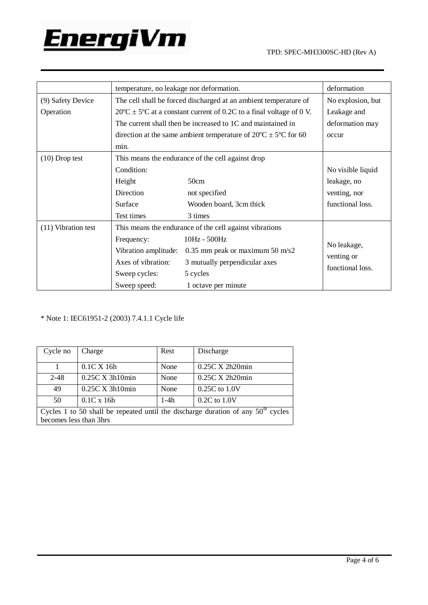

|                     | temperature, no leakage nor deformation.                                                   |                                 | deformation                    |
|---------------------|--------------------------------------------------------------------------------------------|---------------------------------|--------------------------------|
| (9) Safety Device   | The cell shall be forced discharged at an ambient temperature of                           |                                 | No explosion, but              |
| Operation           | $20^{\circ}$ C ± 5 <sup>o</sup> C at a constant current of 0.2C to a final voltage of 0 V. |                                 | Leakage and                    |
|                     | The current shall then be increased to 1C and maintained in                                |                                 | deformation may                |
|                     | direction at the same ambient temperature of $20^{\circ}$ C $\pm$ 5°C for 60               |                                 | occur                          |
|                     | min.                                                                                       |                                 |                                |
| $(10)$ Drop test    | This means the endurance of the cell against drop                                          |                                 |                                |
|                     | Condition:                                                                                 |                                 | No visible liquid              |
|                     | Height                                                                                     | 50cm                            | leakage, no                    |
|                     | Direction                                                                                  | not specified                   | venting, nor                   |
|                     | Surface                                                                                    | Wooden board, 3cm thick         | functional loss.               |
|                     | Test times                                                                                 | 3 times                         |                                |
| (11) Vibration test | This means the endurance of the cell against vibrations                                    |                                 |                                |
|                     | Frequency:                                                                                 | 10Hz - 500Hz                    |                                |
|                     | Vibration amplitude:                                                                       | 0.35 mm peak or maximum 50 m/s2 | No leakage,                    |
|                     | Axes of vibration:                                                                         | 3 mutually perpendicular axes   | venting or<br>functional loss. |
|                     | Sweep cycles:                                                                              | 5 cycles                        |                                |
|                     | Sweep speed:                                                                               | 1 octave per minute             |                                |

\* Note 1: IEC61951-2 (2003) 7.4.1.1 Cycle life

| Cycle no                                                                           | Charge                  | Rest   | Discharge            |  |  |
|------------------------------------------------------------------------------------|-------------------------|--------|----------------------|--|--|
|                                                                                    | $0.1C$ X 16h            | None   | $0.25C$ X 2h20 $min$ |  |  |
| $2 - 48$                                                                           | $0.25C$ X 3h10min       | None   | $0.25C$ X 2h20 $min$ |  |  |
| 49                                                                                 | $0.25C \times 3h10$ min | None   | $0.25C$ to $1.0V$    |  |  |
| 50                                                                                 | $0.1C \times 16h$       | $1-4h$ | $0.2C$ to $1.0V$     |  |  |
| Cycles 1 to 50 shall be repeated until the discharge duration of any $50th$ cycles |                         |        |                      |  |  |
| becomes less than 3hrs                                                             |                         |        |                      |  |  |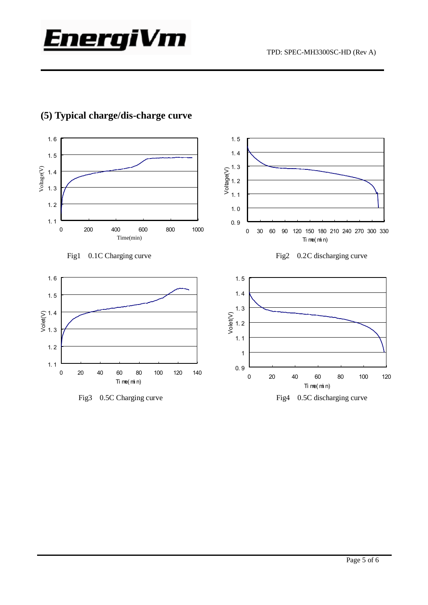



#### **(5) Typical charge/dis-charge curve**